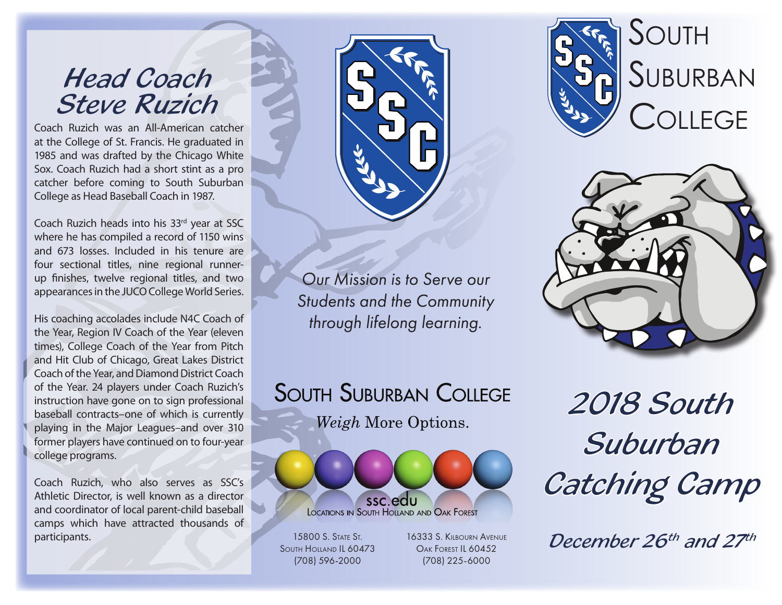### *Head Coach Steve Ruzich*

Coach Ruzich was an All-American catcher at the College of St. Francis. He graduated in 1985 and was drafted by the Chicago White Sox. Coach Ruzich had a short stint as a pro catcher before coming to South Suburban College as Head Baseball Coach in 1987.

Coach Ruzich heads into his 33rd year at SSC where he has compiled a record of 1150 wins and 673 losses. Included in his tenure are four sectional titles, nine regional runnerup finishes, twelve regional titles, and two appearances in the JUCO College World Series.

His coaching accolades include N4C Coach of the Year, Region IV Coach of the Year (eleven times), College Coach of the Year from Pitch and Hit Club of Chicago, Great Lakes District Coach of the Year, and Diamond District Coach of the Year. 24 players under Coach Ruzich's instruction have gone on to sign professional baseball contracts–one of which is currently playing in the Major Leagues–and over 310 former players have continued on to four-year college programs.

Coach Ruzich, who also serves as SSC's Athletic Director, is well known as a director and coordinator of local parent-child baseball camps which have attracted thousands of **participants.** 15800 S. STATE ST.



*Our Mission is to Serve our Students and the Community through lifelong learning.*





**SOUTH SUBURBAN COLLEGE** Weigh More Options.



South Holland IL 60473 (708) 596-2000

16333 S. Kilbourn Avenue Oak Forest IL 60452 (708) 225-6000

*2018 South Suburban Catching Camp*

*December 26th and 27th*